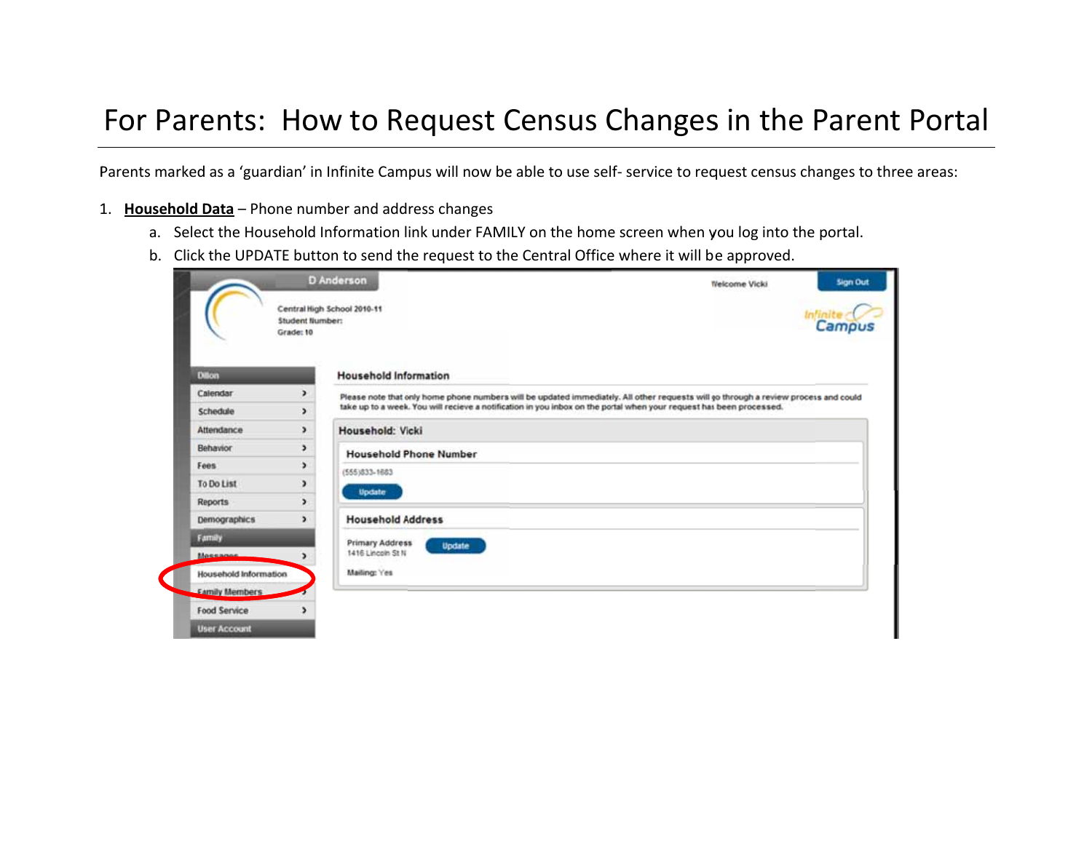## For Parents: How to Request Census Changes in the Parent Portal

Parents marked as a 'guardian' in Infinite Campus will now be able to use self- service to request census changes to three areas:

- 1. Household Data Phone number and address changes
	- a. Select the Household Information link under FAMILY on the home screen when you log into the portal.
	- b. Click the UPDATE button to send the request to the Central Office where it will be approved.

|                                                 | Student Number:<br>Grade: 10 |                                                                                                                                         | Campus |  |  |  |  |
|-------------------------------------------------|------------------------------|-----------------------------------------------------------------------------------------------------------------------------------------|--------|--|--|--|--|
| <b>Dillon</b>                                   |                              | <b>Household Information</b>                                                                                                            |        |  |  |  |  |
| Calendar                                        | $\rightarrow$                | Please note that only home phone numbers will be updated immediately. All other requests will go through a review process and could     |        |  |  |  |  |
| Schedule                                        | $\overline{ }$               | take up to a week. You will recieve a notification in you inbox on the portal when your request has been processed.<br>Household: Vicki |        |  |  |  |  |
| Attendance                                      | $\overline{\phantom{a}}$     |                                                                                                                                         |        |  |  |  |  |
| Behavior                                        | э                            | <b>Household Phone Number</b>                                                                                                           |        |  |  |  |  |
| Fees                                            | $\overline{ }$               | (555)833-1683                                                                                                                           |        |  |  |  |  |
| To Do List                                      | $\overline{ }$               | Update                                                                                                                                  |        |  |  |  |  |
| <b>Reports</b>                                  | $\overline{ }$               |                                                                                                                                         |        |  |  |  |  |
| <b>Demographics</b>                             | $\overline{ }$               | <b>Household Address</b>                                                                                                                |        |  |  |  |  |
| Farmily                                         | Primary Address<br>Update    |                                                                                                                                         |        |  |  |  |  |
| Mossonne                                        | $\rightarrow$                | 1416 Lincoln St N                                                                                                                       |        |  |  |  |  |
|                                                 |                              | Mailing: Yes                                                                                                                            |        |  |  |  |  |
| Household Information<br><b>Earnily Members</b> |                              |                                                                                                                                         |        |  |  |  |  |
| Food Service                                    | э                            |                                                                                                                                         |        |  |  |  |  |
| <b>User Account</b>                             |                              |                                                                                                                                         |        |  |  |  |  |